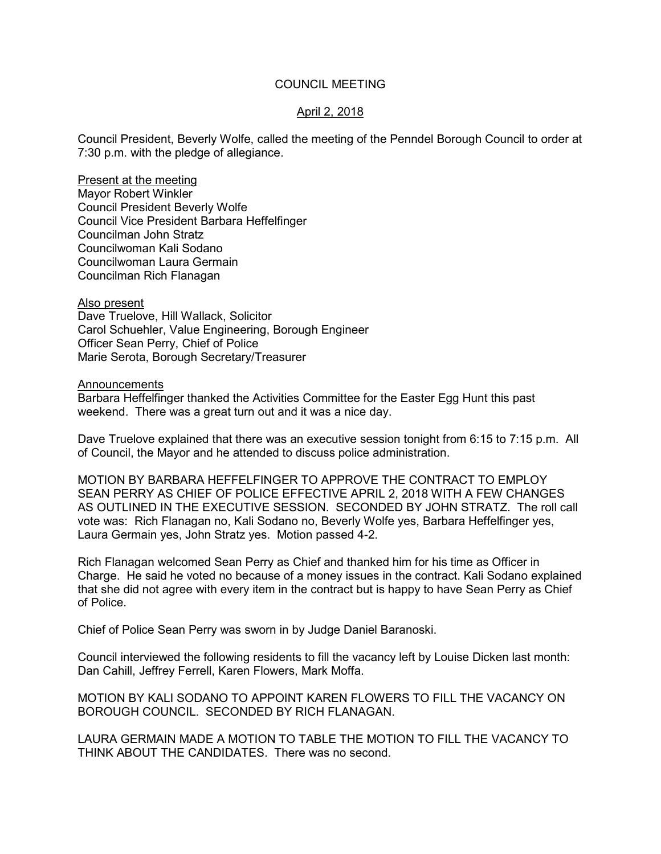## COUNCIL MEETING

## April 2, 2018

Council President, Beverly Wolfe, called the meeting of the Penndel Borough Council to order at 7:30 p.m. with the pledge of allegiance.

Present at the meeting Mayor Robert Winkler Council President Beverly Wolfe Council Vice President Barbara Heffelfinger Councilman John Stratz Councilwoman Kali Sodano Councilwoman Laura Germain Councilman Rich Flanagan

Also present

Dave Truelove, Hill Wallack, Solicitor Carol Schuehler, Value Engineering, Borough Engineer Officer Sean Perry, Chief of Police Marie Serota, Borough Secretary/Treasurer

**Announcements** 

Barbara Heffelfinger thanked the Activities Committee for the Easter Egg Hunt this past weekend. There was a great turn out and it was a nice day.

Dave Truelove explained that there was an executive session tonight from 6:15 to 7:15 p.m. All of Council, the Mayor and he attended to discuss police administration.

MOTION BY BARBARA HEFFELFINGER TO APPROVE THE CONTRACT TO EMPLOY SEAN PERRY AS CHIEF OF POLICE EFFECTIVE APRIL 2, 2018 WITH A FEW CHANGES AS OUTLINED IN THE EXECUTIVE SESSION. SECONDED BY JOHN STRATZ. The roll call vote was: Rich Flanagan no, Kali Sodano no, Beverly Wolfe yes, Barbara Heffelfinger yes, Laura Germain yes, John Stratz yes. Motion passed 4-2.

Rich Flanagan welcomed Sean Perry as Chief and thanked him for his time as Officer in Charge. He said he voted no because of a money issues in the contract. Kali Sodano explained that she did not agree with every item in the contract but is happy to have Sean Perry as Chief of Police.

Chief of Police Sean Perry was sworn in by Judge Daniel Baranoski.

Council interviewed the following residents to fill the vacancy left by Louise Dicken last month: Dan Cahill, Jeffrey Ferrell, Karen Flowers, Mark Moffa.

MOTION BY KALI SODANO TO APPOINT KAREN FLOWERS TO FILL THE VACANCY ON BOROUGH COUNCIL. SECONDED BY RICH FLANAGAN.

LAURA GERMAIN MADE A MOTION TO TABLE THE MOTION TO FILL THE VACANCY TO THINK ABOUT THE CANDIDATES. There was no second.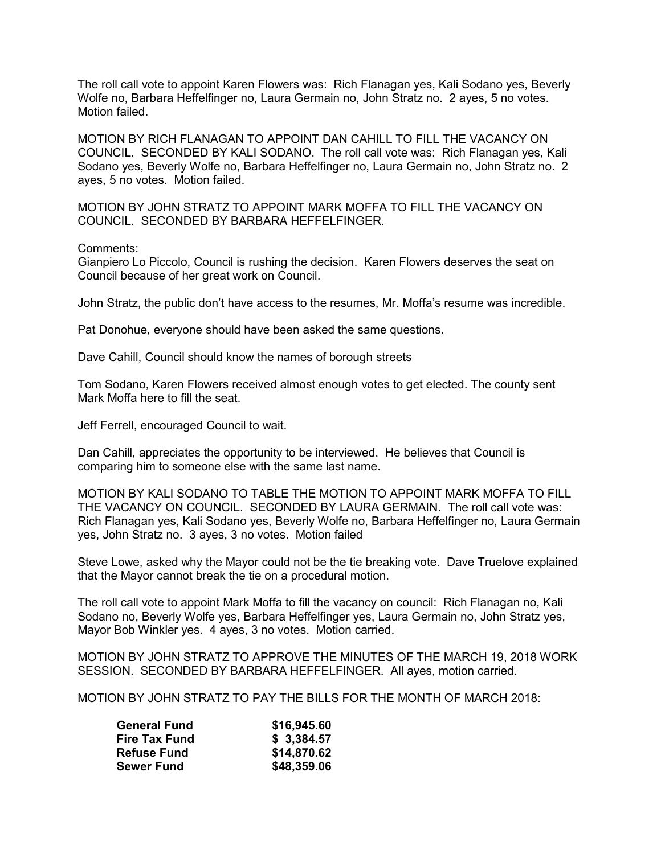The roll call vote to appoint Karen Flowers was: Rich Flanagan yes, Kali Sodano yes, Beverly Wolfe no, Barbara Heffelfinger no, Laura Germain no, John Stratz no. 2 ayes, 5 no votes. Motion failed.

MOTION BY RICH FLANAGAN TO APPOINT DAN CAHILL TO FILL THE VACANCY ON COUNCIL. SECONDED BY KALI SODANO. The roll call vote was: Rich Flanagan yes, Kali Sodano yes, Beverly Wolfe no, Barbara Heffelfinger no, Laura Germain no, John Stratz no. 2 ayes, 5 no votes. Motion failed.

MOTION BY JOHN STRATZ TO APPOINT MARK MOFFA TO FILL THE VACANCY ON COUNCIL. SECONDED BY BARBARA HEFFELFINGER.

#### Comments:

Gianpiero Lo Piccolo, Council is rushing the decision. Karen Flowers deserves the seat on Council because of her great work on Council.

John Stratz, the public don't have access to the resumes, Mr. Moffa's resume was incredible.

Pat Donohue, everyone should have been asked the same questions.

Dave Cahill, Council should know the names of borough streets

Tom Sodano, Karen Flowers received almost enough votes to get elected. The county sent Mark Moffa here to fill the seat.

Jeff Ferrell, encouraged Council to wait.

Dan Cahill, appreciates the opportunity to be interviewed. He believes that Council is comparing him to someone else with the same last name.

MOTION BY KALI SODANO TO TABLE THE MOTION TO APPOINT MARK MOFFA TO FILL THE VACANCY ON COUNCIL. SECONDED BY LAURA GERMAIN. The roll call vote was: Rich Flanagan yes, Kali Sodano yes, Beverly Wolfe no, Barbara Heffelfinger no, Laura Germain yes, John Stratz no. 3 ayes, 3 no votes. Motion failed

Steve Lowe, asked why the Mayor could not be the tie breaking vote. Dave Truelove explained that the Mayor cannot break the tie on a procedural motion.

The roll call vote to appoint Mark Moffa to fill the vacancy on council: Rich Flanagan no, Kali Sodano no, Beverly Wolfe yes, Barbara Heffelfinger yes, Laura Germain no, John Stratz yes, Mayor Bob Winkler yes. 4 ayes, 3 no votes. Motion carried.

MOTION BY JOHN STRATZ TO APPROVE THE MINUTES OF THE MARCH 19, 2018 WORK SESSION. SECONDED BY BARBARA HEFFELFINGER. All ayes, motion carried.

MOTION BY JOHN STRATZ TO PAY THE BILLS FOR THE MONTH OF MARCH 2018:

| <b>General Fund</b>  | \$16,945.60 |
|----------------------|-------------|
| <b>Fire Tax Fund</b> | \$3,384.57  |
| <b>Refuse Fund</b>   | \$14,870.62 |
| <b>Sewer Fund</b>    | \$48,359.06 |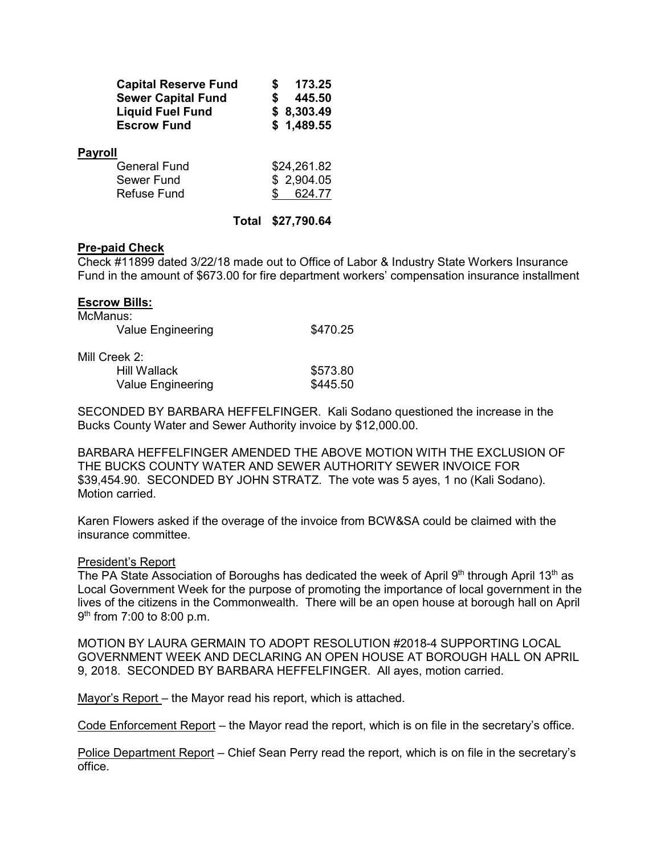| <b>Capital Reserve Fund</b> | 173.25     |
|-----------------------------|------------|
| <b>Sewer Capital Fund</b>   | 445.50     |
| <b>Liquid Fuel Fund</b>     | \$8,303.49 |
| <b>Escrow Fund</b>          | \$1,489.55 |
| <b>Payroll</b>              |            |

| General Fund | \$24,261.82 |
|--------------|-------------|
| Sewer Fund   | \$2,904.05  |
| Refuse Fund  | 624.77      |
|              |             |

## **Total \$27,790.64**

## **Pre-paid Check**

Check #11899 dated 3/22/18 made out to Office of Labor & Industry State Workers Insurance Fund in the amount of \$673.00 for fire department workers' compensation insurance installment

| <b>Escrow Bills:</b> |          |
|----------------------|----------|
| McManus:             |          |
| Value Engineering    | \$470.25 |
| Mill Creek 2:        |          |
| Hill Wallack         | \$573.80 |
| Value Engineering    | \$445.50 |

SECONDED BY BARBARA HEFFELFINGER. Kali Sodano questioned the increase in the Bucks County Water and Sewer Authority invoice by \$12,000.00.

BARBARA HEFFELFINGER AMENDED THE ABOVE MOTION WITH THE EXCLUSION OF THE BUCKS COUNTY WATER AND SEWER AUTHORITY SEWER INVOICE FOR \$39,454.90. SECONDED BY JOHN STRATZ. The vote was 5 ayes, 1 no (Kali Sodano). Motion carried.

Karen Flowers asked if the overage of the invoice from BCW&SA could be claimed with the insurance committee.

#### President's Report

The PA State Association of Boroughs has dedicated the week of April 9th through April 13<sup>th</sup> as Local Government Week for the purpose of promoting the importance of local government in the lives of the citizens in the Commonwealth. There will be an open house at borough hall on April 9<sup>th</sup> from 7:00 to 8:00 p.m.

MOTION BY LAURA GERMAIN TO ADOPT RESOLUTION #2018-4 SUPPORTING LOCAL GOVERNMENT WEEK AND DECLARING AN OPEN HOUSE AT BOROUGH HALL ON APRIL 9, 2018. SECONDED BY BARBARA HEFFELFINGER. All ayes, motion carried.

Mayor's Report – the Mayor read his report, which is attached.

Code Enforcement Report – the Mayor read the report, which is on file in the secretary's office.

Police Department Report – Chief Sean Perry read the report, which is on file in the secretary's office.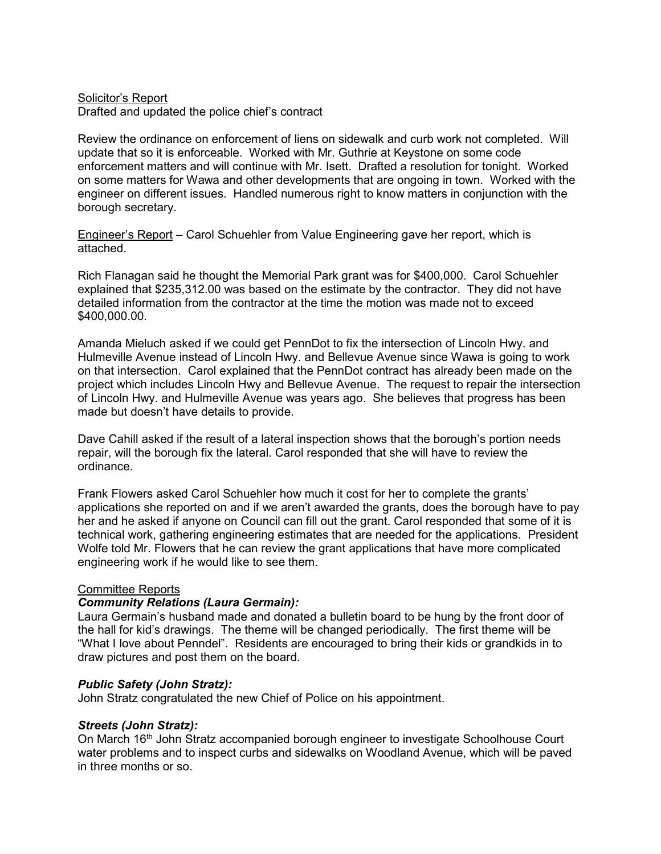#### Solicitor's Report Drafted and updated the police chief's contract

Review the ordinance on enforcement of liens on sidewalk and curb work not completed. Will update that so it is enforceable. Worked with Mr. Guthrie at Keystone on some code enforcement matters and will continue with Mr. Isett. Drafted a resolution for tonight. Worked on some matters for Wawa and other developments that are ongoing in town. Worked with the engineer on different issues. Handled numerous right to know matters in conjunction with the borough secretary.

Engineer's Report – Carol Schuehler from Value Engineering gave her report, which is attached.

Rich Flanagan said he thought the Memorial Park grant was for \$400,000. Carol Schuehler explained that \$235,312.00 was based on the estimate by the contractor. They did not have detailed information from the contractor at the time the motion was made not to exceed \$400,000.00.

Amanda Mieluch asked if we could get PennDot to fix the intersection of Lincoln Hwy. and Hulmeville Avenue instead of Lincoln Hwy. and Bellevue Avenue since Wawa is going to work on that intersection. Carol explained that the PennDot contract has already been made on the project which includes Lincoln Hwy and Bellevue Avenue. The request to repair the intersection of Lincoln Hwy. and Hulmeville Avenue was years ago. She believes that progress has been made but doesn't have details to provide.

Dave Cahill asked if the result of a lateral inspection shows that the borough's portion needs repair, will the borough fix the lateral. Carol responded that she will have to review the ordinance.

Frank Flowers asked Carol Schuehler how much it cost for her to complete the grants' applications she reported on and if we aren't awarded the grants, does the borough have to pay her and he asked if anyone on Council can fill out the grant. Carol responded that some of it is technical work, gathering engineering estimates that are needed for the applications. President Wolfe told Mr. Flowers that he can review the grant applications that have more complicated engineering work if he would like to see them.

#### Committee Reports

#### *Community Relations (Laura Germain):*

Laura Germain's husband made and donated a bulletin board to be hung by the front door of the hall for kid's drawings. The theme will be changed periodically. The first theme will be "What I love about Penndel". Residents are encouraged to bring their kids or grandkids in to draw pictures and post them on the board.

#### *Public Safety (John Stratz):*

John Stratz congratulated the new Chief of Police on his appointment.

# *Streets (John Stratz):*

On March 16th John Stratz accompanied borough engineer to investigate Schoolhouse Court water problems and to inspect curbs and sidewalks on Woodland Avenue, which will be paved in three months or so.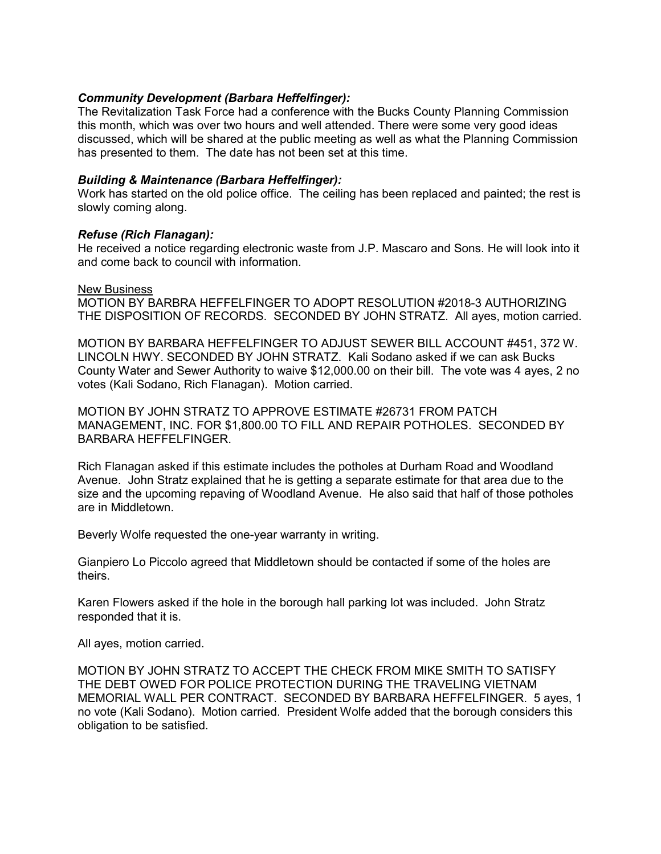## *Community Development (Barbara Heffelfinger):*

The Revitalization Task Force had a conference with the Bucks County Planning Commission this month, which was over two hours and well attended. There were some very good ideas discussed, which will be shared at the public meeting as well as what the Planning Commission has presented to them. The date has not been set at this time.

## *Building & Maintenance (Barbara Heffelfinger):*

Work has started on the old police office. The ceiling has been replaced and painted; the rest is slowly coming along.

## *Refuse (Rich Flanagan):*

He received a notice regarding electronic waste from J.P. Mascaro and Sons. He will look into it and come back to council with information.

#### New Business

MOTION BY BARBRA HEFFELFINGER TO ADOPT RESOLUTION #2018-3 AUTHORIZING THE DISPOSITION OF RECORDS. SECONDED BY JOHN STRATZ. All ayes, motion carried.

MOTION BY BARBARA HEFFELFINGER TO ADJUST SEWER BILL ACCOUNT #451, 372 W. LINCOLN HWY. SECONDED BY JOHN STRATZ. Kali Sodano asked if we can ask Bucks County Water and Sewer Authority to waive \$12,000.00 on their bill. The vote was 4 ayes, 2 no votes (Kali Sodano, Rich Flanagan). Motion carried.

MOTION BY JOHN STRATZ TO APPROVE ESTIMATE #26731 FROM PATCH MANAGEMENT, INC. FOR \$1,800.00 TO FILL AND REPAIR POTHOLES. SECONDED BY BARBARA HEFFELFINGER.

Rich Flanagan asked if this estimate includes the potholes at Durham Road and Woodland Avenue. John Stratz explained that he is getting a separate estimate for that area due to the size and the upcoming repaving of Woodland Avenue. He also said that half of those potholes are in Middletown.

Beverly Wolfe requested the one-year warranty in writing.

Gianpiero Lo Piccolo agreed that Middletown should be contacted if some of the holes are theirs.

Karen Flowers asked if the hole in the borough hall parking lot was included. John Stratz responded that it is.

All ayes, motion carried.

MOTION BY JOHN STRATZ TO ACCEPT THE CHECK FROM MIKE SMITH TO SATISFY THE DEBT OWED FOR POLICE PROTECTION DURING THE TRAVELING VIETNAM MEMORIAL WALL PER CONTRACT. SECONDED BY BARBARA HEFFELFINGER. 5 ayes, 1 no vote (Kali Sodano). Motion carried. President Wolfe added that the borough considers this obligation to be satisfied.